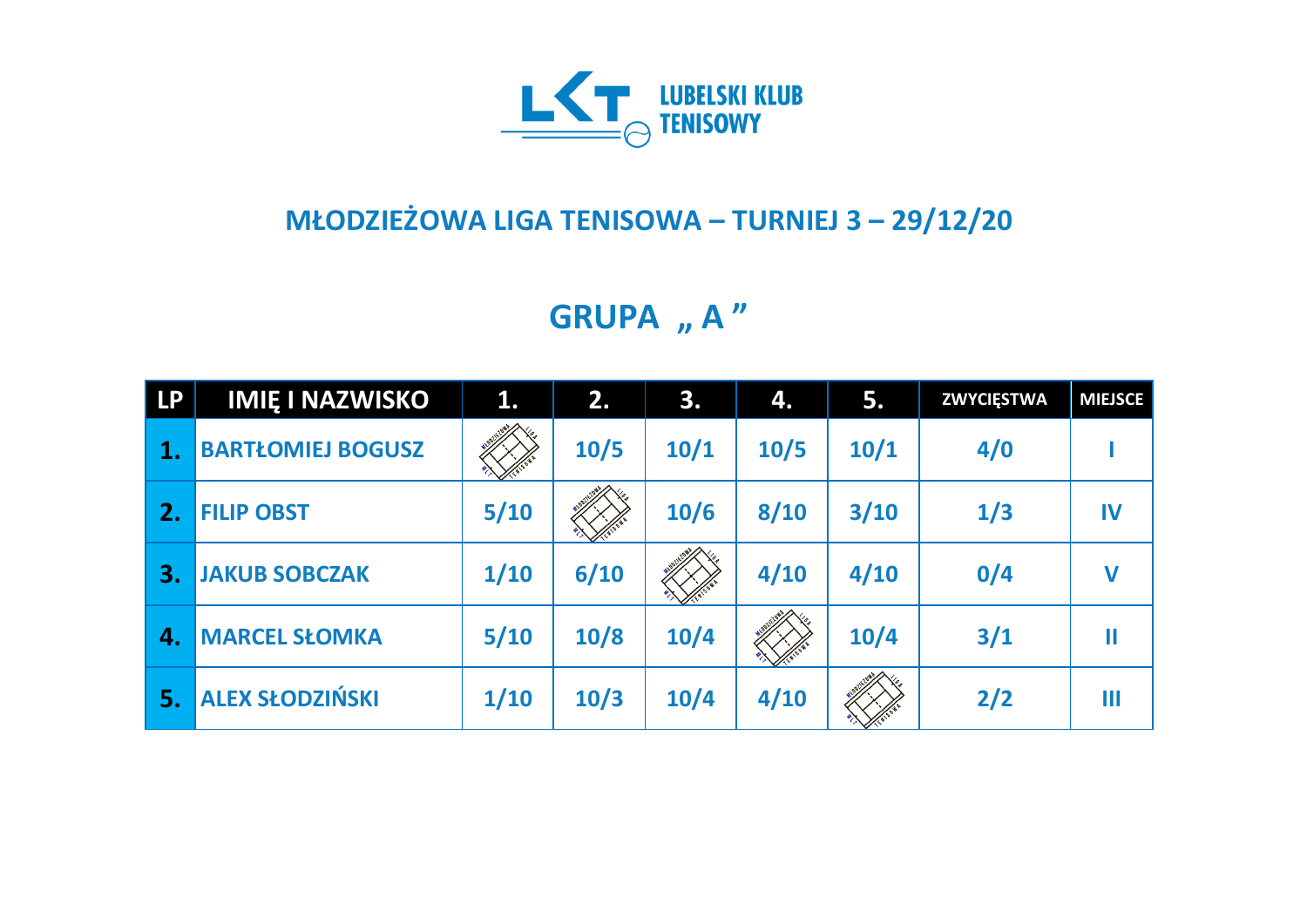

## **MŁODZIEŻOWA LIGA TENISOWA – TURNIEJ 3 – 29/12/20**

**GRUPA** "A"

| <b>LP</b> | <b>IMIE I NAZWISKO</b>   | 1.   | 2.   | 3.   | 4.   | 5.   | <b>ZWYCIĘSTWA</b> | <b>MIEJSCE</b> |
|-----------|--------------------------|------|------|------|------|------|-------------------|----------------|
|           | <b>BARTŁOMIEJ BOGUSZ</b> |      | 10/5 | 10/1 | 10/5 | 10/1 | 4/0               |                |
| 2.        | <b>FILIP OBST</b>        | 5/10 |      | 10/6 | 8/10 | 3/10 | 1/3               | IV             |
| 3.        | <b>JAKUB SOBCZAK</b>     | 1/10 | 6/10 |      | 4/10 | 4/10 | 0/4               | $\mathbf v$    |
| 4.        | <b>MARCEL SŁOMKA</b>     | 5/10 | 10/8 | 10/4 |      | 10/4 | 3/1               | Ш              |
| 5.        | <b>ALEX SŁODZIŃSKI</b>   | 1/10 | 10/3 | 10/4 | 4/10 |      | 2/2               | Ш              |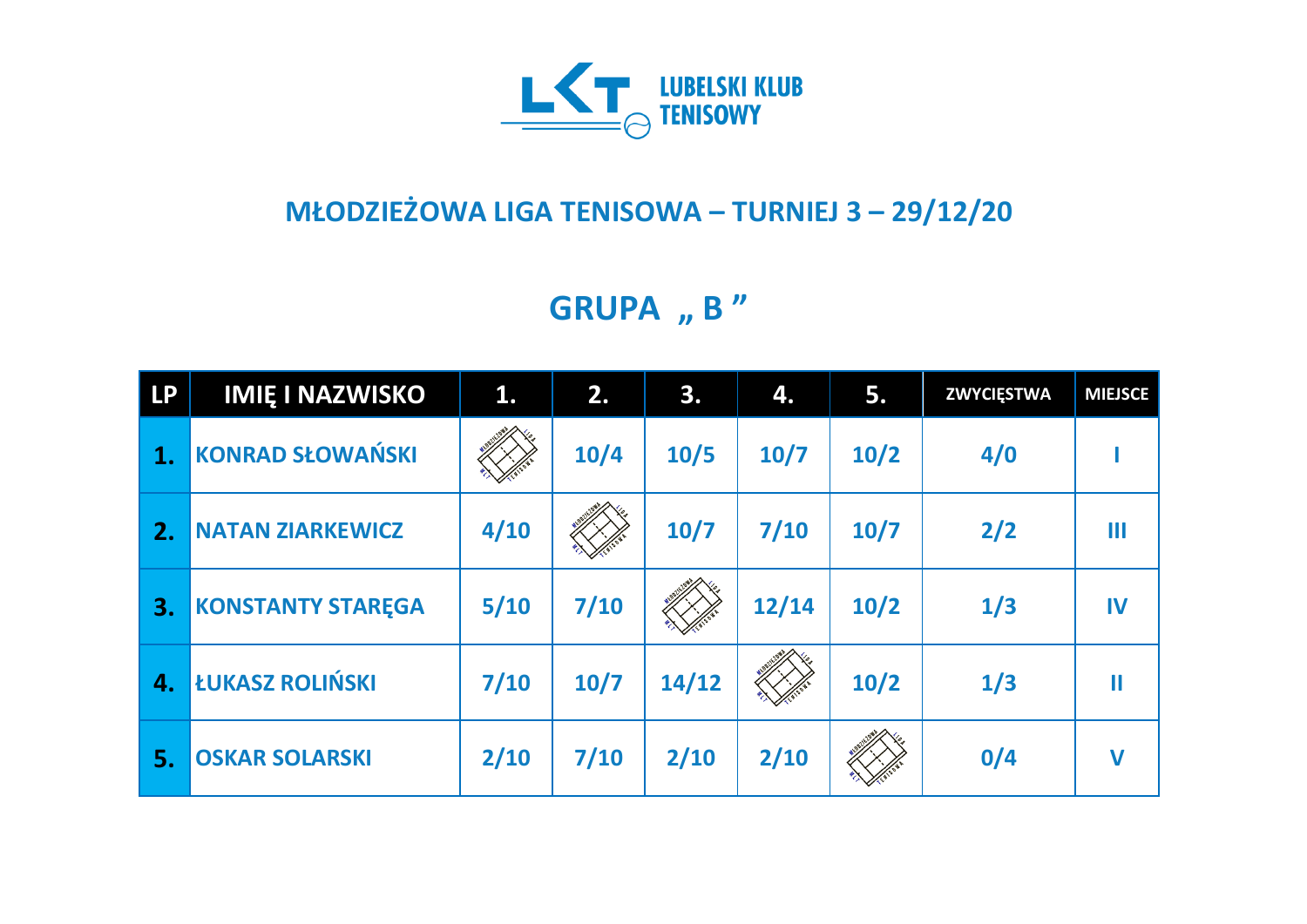

## **MŁODZIEŻOWA LIGA TENISOWA – TURNIEJ 3 – 29/12/20**

**GRUPA** , **B** "

| <b>LP</b> | <b>IMIĘ I NAZWISKO</b>   | 1.     | 2.     | 3.     | 4.    | 5.   | <b>ZWYCIĘSTWA</b> | <b>MIEJSCE</b>      |
|-----------|--------------------------|--------|--------|--------|-------|------|-------------------|---------------------|
| 1.        | <b>KONRAD SŁOWAŃSKI</b>  |        | $10/4$ | 10/5   | 10/7  | 10/2 | 4/0               |                     |
| 2.        | <b>NATAN ZIARKEWICZ</b>  | 4/10   |        | $10/7$ | 7/10  | 10/7 | 2/2               | Ш                   |
| 3.        | <b>KONSTANTY STAREGA</b> | $5/10$ | 7/10   |        | 12/14 | 10/2 | 1/3               | IV                  |
| 4.        | ŁUKASZ ROLIŃSKI          | 7/10   | $10/7$ | 14/12  |       | 10/2 | 1/3               | $\mathbf \mathbf I$ |
| 5.        | <b>OSKAR SOLARSKI</b>    | 2/10   | 7/10   | 2/10   | 2/10  |      | 0/4               | $\mathbf v$         |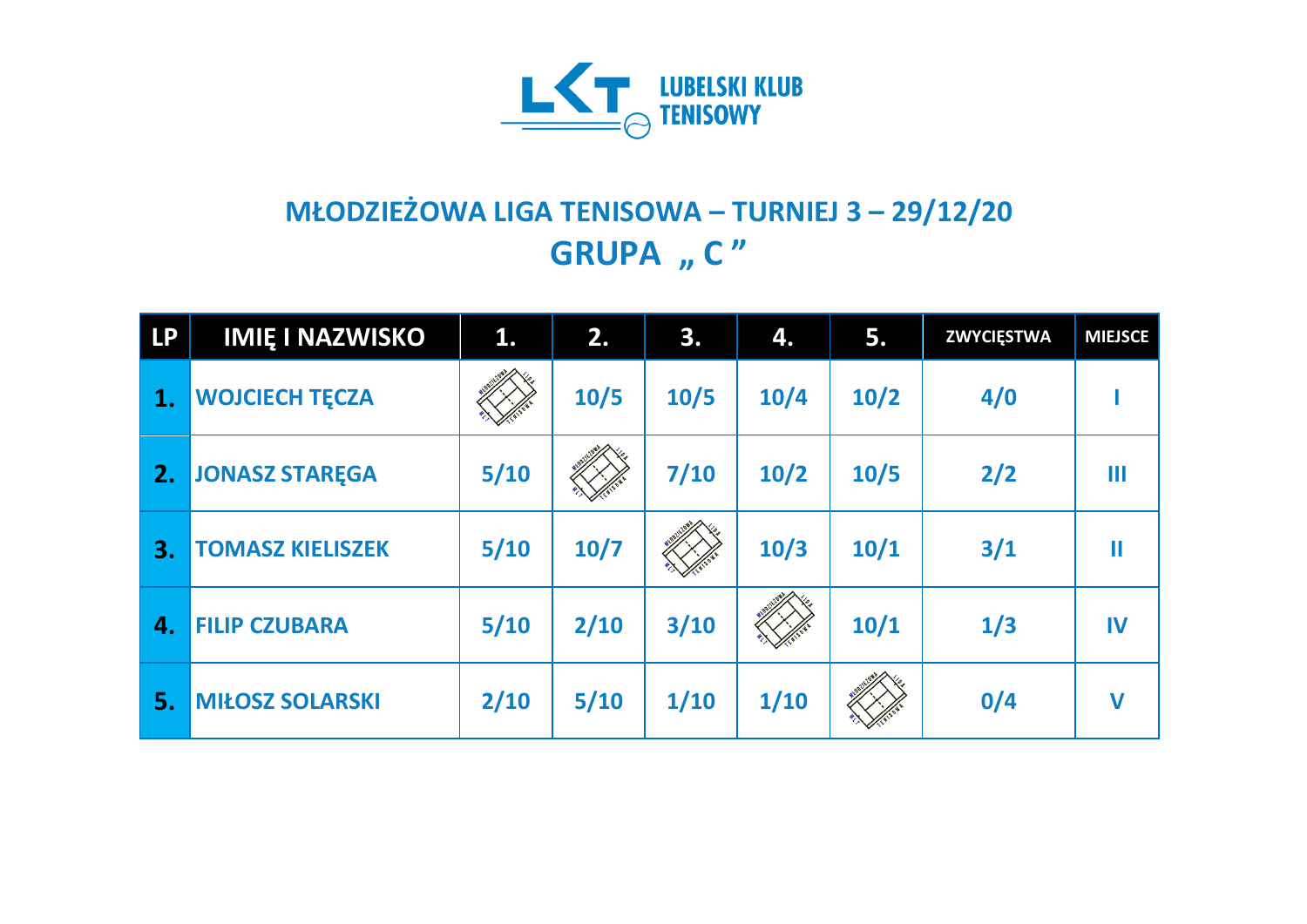

## **MŁODZIEŻOWA LIGA TENISOWA – TURNIEJ 3 – 29/12/20 GRUPA** "  $C''$

| <b>LP</b> | <b>IMIĘ I NAZWISKO</b>  | 1.     | 2.     | 3.   | 4.   | 5.   | <b>ZWYCIĘSTWA</b> | <b>MIEJSCE</b>         |
|-----------|-------------------------|--------|--------|------|------|------|-------------------|------------------------|
| 1.        | <b>WOJCIECH TĘCZA</b>   |        | 10/5   | 10/5 | 10/4 | 10/2 | 4/0               |                        |
| 2.        | <b>JONASZ STAREGA</b>   | $5/10$ |        | 7/10 | 10/2 | 10/5 | 2/2               | Ш                      |
| 3.        | <b>TOMASZ KIELISZEK</b> | $5/10$ | $10/7$ |      | 10/3 | 10/1 | 3/1               | $\mathop{\mathrm{II}}$ |
| 4.        | <b>FILIP CZUBARA</b>    | $5/10$ | 2/10   | 3/10 |      | 10/1 | 1/3               | IV                     |
| 5.        | <b>MIŁOSZ SOLARSKI</b>  | 2/10   | 5/10   | 1/10 | 1/10 |      | 0/4               | $\mathbf v$            |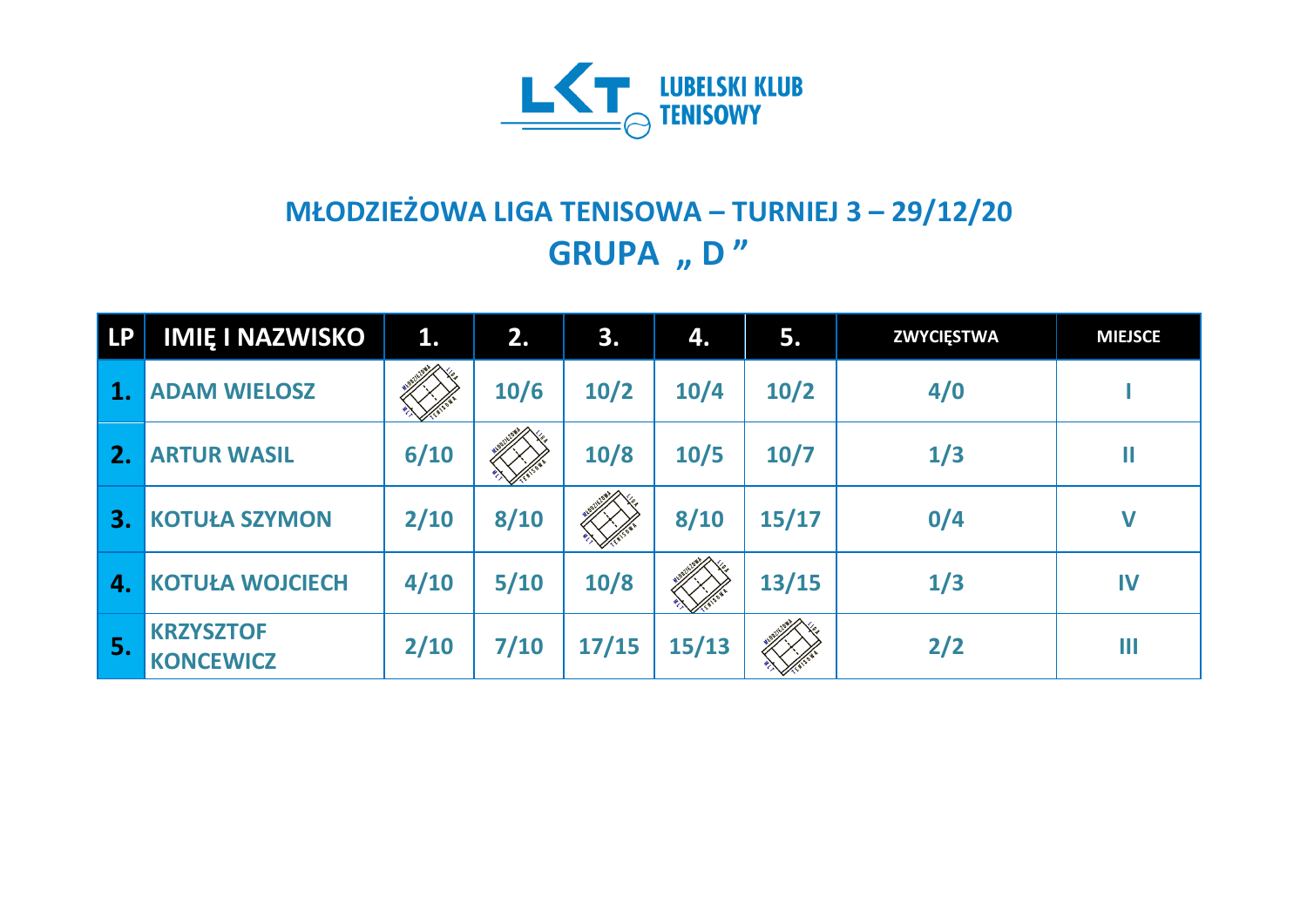

## **MŁODZIEŻOWA LIGA TENISOWA – TURNIEJ 3 – 29/12/20 GRUPA** "D"

| <b>LP</b> | <b>IMIĘ I NAZWISKO</b>               | 1.   | 2.   | 3.    | 4.    | 5.     | <b>ZWYCIĘSTWA</b> | <b>MIEJSCE</b> |
|-----------|--------------------------------------|------|------|-------|-------|--------|-------------------|----------------|
| 1.        | <b>ADAM WIELOSZ</b>                  |      | 10/6 | 10/2  | 10/4  | 10/2   | 4/0               |                |
| 2.        | <b>ARTUR WASIL</b>                   | 6/10 |      | 10/8  | 10/5  | $10/7$ | 1/3               | II             |
| 3.        | <b>KOTUŁA SZYMON</b>                 | 2/10 | 8/10 |       | 8/10  | 15/17  | 0/4               | $\mathbf V$    |
| 4.        | <b>KOTUŁA WOJCIECH</b>               | 4/10 | 5/10 | 10/8  |       | 13/15  | 1/3               | IV             |
| <b>S.</b> | <b>KRZYSZTOF</b><br><b>KONCEWICZ</b> | 2/10 | 7/10 | 17/15 | 15/13 |        | 2/2               | Ш              |